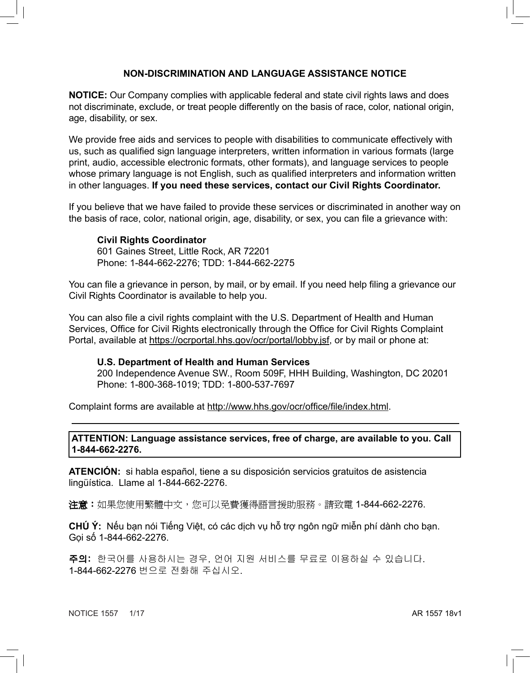## **NON-DISCRIMINATION AND LANGUAGE ASSISTANCE NOTICE**

**NOTICE:** Our Company complies with applicable federal and state civil rights laws and does not discriminate, exclude, or treat people differently on the basis of race, color, national origin, age, disability, or sex.

We provide free aids and services to people with disabilities to communicate effectively with us, such as qualified sign language interpreters, written information in various formats (large print, audio, accessible electronic formats, other formats), and language services to people whose primary language is not English, such as qualified interpreters and information written in other languages. **If you need these services, contact our Civil Rights Coordinator.**

If you believe that we have failed to provide these services or discriminated in another way on the basis of race, color, national origin, age, disability, or sex, you can file a grievance with:

## **Civil Rights Coordinator**

601 Gaines Street, Little Rock, AR 72201 Phone: 1-844-662-2276; TDD: 1-844-662-2275

You can file a grievance in person, by mail, or by email. If you need help filing a grievance our Civil Rights Coordinator is available to help you.

You can also file a civil rights complaint with the U.S. Department of Health and Human Services, Office for Civil Rights electronically through the Office for Civil Rights Complaint Portal, available at https://ocrportal.hhs.gov/ocr/portal/lobby.jsf, or by mail or phone at:

## **U.S. Department of Health and Human Services**

200 Independence Avenue SW., Room 509F, HHH Building, Washington, DC 20201 Phone: 1-800-368-1019; TDD: 1-800-537-7697

Complaint forms are available at http://www.hhs.gov/ocr/office/file/index.html.

## **ATTENTION: Language assistance services, free of charge, are available to you. Call 1-844-662-2276.**

**ATENCIÓN:** si habla español, tiene a su disposición servicios gratuitos de asistencia lingüística. Llame al 1-844-662-2276.

**注意:**如果您使用繁體中文,您可以免費獲得語言援助服務。請致電 1-844-662-2276.

**CHÚ Ý:** Nếu bạn nói Tiếng Việt, có các dịch vụ hỗ trợ ngôn ngữ miễn phí dành cho bạn. Gọi số 1-844-662-2276.

주의: 한국어를 사용하시는 경우, 언어 지원 서비스를 무료로 이용하실 수 있습니다. 1-844-662-2276 번으로 전화해 주십시오.